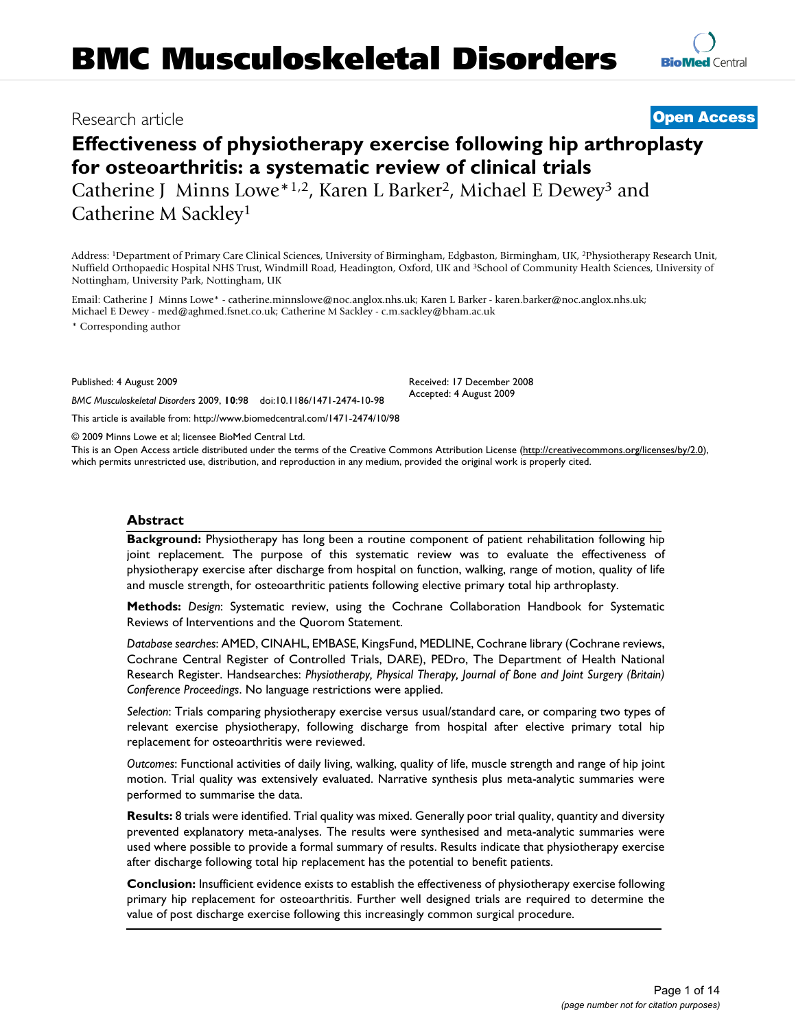# **Effectiveness of physiotherapy exercise following hip arthroplasty for osteoarthritis: a systematic review of clinical trials** Catherine J Minns Lowe\*1,2, Karen L Barker2, Michael E Dewey3 and Catherine M Sackley1

Address: 1Department of Primary Care Clinical Sciences, University of Birmingham, Edgbaston, Birmingham, UK, 2Physiotherapy Research Unit, Nuffield Orthopaedic Hospital NHS Trust, Windmill Road, Headington, Oxford, UK and 3School of Community Health Sciences, University of Nottingham, University Park, Nottingham, UK

Email: Catherine J Minns Lowe\* - catherine.minnslowe@noc.anglox.nhs.uk; Karen L Barker - karen.barker@noc.anglox.nhs.uk; Michael E Dewey - med@aghmed.fsnet.co.uk; Catherine M Sackley - c.m.sackley@bham.ac.uk

\* Corresponding author

Published: 4 August 2009

*BMC Musculoskeletal Disorders* 2009, **10**:98 doi:10.1186/1471-2474-10-98

[This article is available from: http://www.biomedcentral.com/1471-2474/10/98](http://www.biomedcentral.com/1471-2474/10/98)

© 2009 Minns Lowe et al; licensee BioMed Central Ltd.

This is an Open Access article distributed under the terms of the Creative Commons Attribution License [\(http://creativecommons.org/licenses/by/2.0\)](http://creativecommons.org/licenses/by/2.0), which permits unrestricted use, distribution, and reproduction in any medium, provided the original work is properly cited.

#### **Abstract**

**Background:** Physiotherapy has long been a routine component of patient rehabilitation following hip joint replacement. The purpose of this systematic review was to evaluate the effectiveness of physiotherapy exercise after discharge from hospital on function, walking, range of motion, quality of life and muscle strength, for osteoarthritic patients following elective primary total hip arthroplasty.

**Methods:** *Design*: Systematic review, using the Cochrane Collaboration Handbook for Systematic Reviews of Interventions and the Quorom Statement.

*Database searches*: AMED, CINAHL, EMBASE, KingsFund, MEDLINE, Cochrane library (Cochrane reviews, Cochrane Central Register of Controlled Trials, DARE), PEDro, The Department of Health National Research Register. Handsearches: *Physiotherapy, Physical Therapy, Journal of Bone and Joint Surgery (Britain) Conference Proceedings*. No language restrictions were applied.

*Selection*: Trials comparing physiotherapy exercise versus usual/standard care, or comparing two types of relevant exercise physiotherapy, following discharge from hospital after elective primary total hip replacement for osteoarthritis were reviewed.

*Outcomes*: Functional activities of daily living, walking, quality of life, muscle strength and range of hip joint motion. Trial quality was extensively evaluated. Narrative synthesis plus meta-analytic summaries were performed to summarise the data.

**Results:** 8 trials were identified. Trial quality was mixed. Generally poor trial quality, quantity and diversity prevented explanatory meta-analyses. The results were synthesised and meta-analytic summaries were used where possible to provide a formal summary of results. Results indicate that physiotherapy exercise after discharge following total hip replacement has the potential to benefit patients.

**Conclusion:** Insufficient evidence exists to establish the effectiveness of physiotherapy exercise following primary hip replacement for osteoarthritis. Further well designed trials are required to determine the value of post discharge exercise following this increasingly common surgical procedure.

Received: 17 December 2008 Accepted: 4 August 2009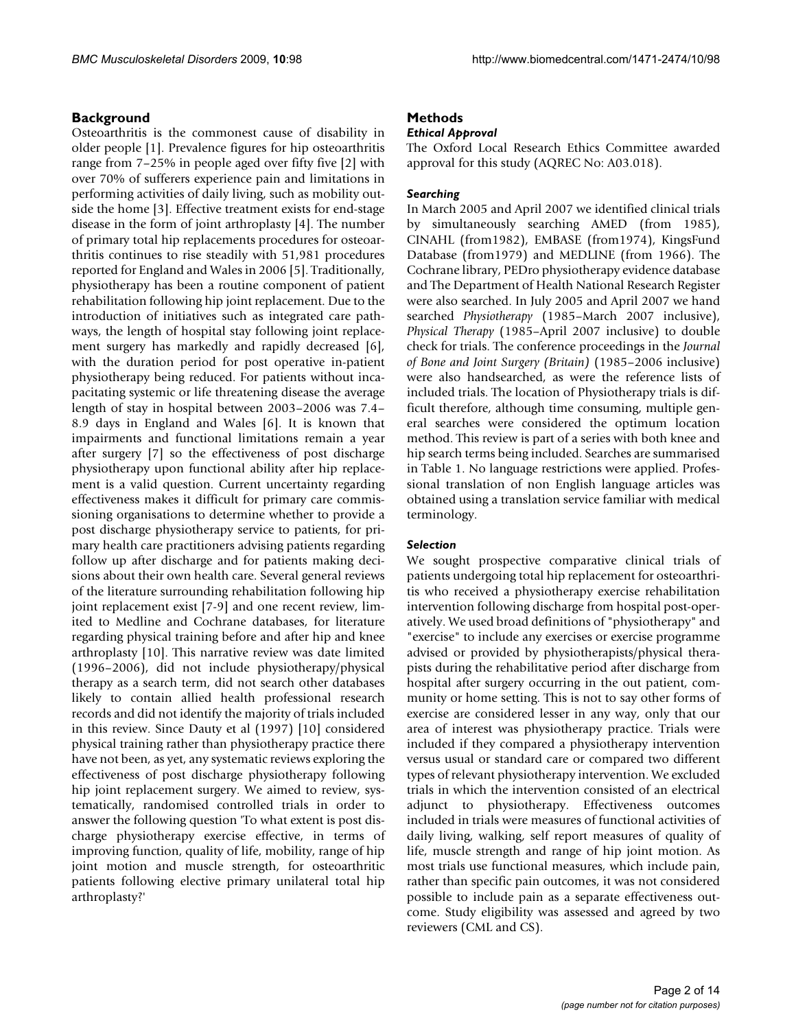# **Background**

Osteoarthritis is the commonest cause of disability in older people [1]. Prevalence figures for hip osteoarthritis range from 7–25% in people aged over fifty five [2] with over 70% of sufferers experience pain and limitations in performing activities of daily living, such as mobility outside the home [3]. Effective treatment exists for end-stage disease in the form of joint arthroplasty [4]. The number of primary total hip replacements procedures for osteoarthritis continues to rise steadily with 51,981 procedures reported for England and Wales in 2006 [5]. Traditionally, physiotherapy has been a routine component of patient rehabilitation following hip joint replacement. Due to the introduction of initiatives such as integrated care pathways, the length of hospital stay following joint replacement surgery has markedly and rapidly decreased [6], with the duration period for post operative in-patient physiotherapy being reduced. For patients without incapacitating systemic or life threatening disease the average length of stay in hospital between 2003–2006 was 7.4– 8.9 days in England and Wales [6]. It is known that impairments and functional limitations remain a year after surgery [7] so the effectiveness of post discharge physiotherapy upon functional ability after hip replacement is a valid question. Current uncertainty regarding effectiveness makes it difficult for primary care commissioning organisations to determine whether to provide a post discharge physiotherapy service to patients, for primary health care practitioners advising patients regarding follow up after discharge and for patients making decisions about their own health care. Several general reviews of the literature surrounding rehabilitation following hip joint replacement exist [7-9] and one recent review, limited to Medline and Cochrane databases, for literature regarding physical training before and after hip and knee arthroplasty [10]. This narrative review was date limited (1996–2006), did not include physiotherapy/physical therapy as a search term, did not search other databases likely to contain allied health professional research records and did not identify the majority of trials included in this review. Since Dauty et al (1997) [10] considered physical training rather than physiotherapy practice there have not been, as yet, any systematic reviews exploring the effectiveness of post discharge physiotherapy following hip joint replacement surgery. We aimed to review, systematically, randomised controlled trials in order to answer the following question 'To what extent is post discharge physiotherapy exercise effective, in terms of improving function, quality of life, mobility, range of hip joint motion and muscle strength, for osteoarthritic patients following elective primary unilateral total hip arthroplasty?'

# **Methods**

# *Ethical Approval*

The Oxford Local Research Ethics Committee awarded approval for this study (AQREC No: A03.018).

#### *Searching*

In March 2005 and April 2007 we identified clinical trials by simultaneously searching AMED (from 1985), CINAHL (from1982), EMBASE (from1974), KingsFund Database (from1979) and MEDLINE (from 1966). The Cochrane library, PEDro physiotherapy evidence database and The Department of Health National Research Register were also searched. In July 2005 and April 2007 we hand searched *Physiotherapy* (1985–March 2007 inclusive), *Physical Therapy* (1985–April 2007 inclusive) to double check for trials. The conference proceedings in the *Journal of Bone and Joint Surgery (Britain)* (1985–2006 inclusive) were also handsearched, as were the reference lists of included trials. The location of Physiotherapy trials is difficult therefore, although time consuming, multiple general searches were considered the optimum location method. This review is part of a series with both knee and hip search terms being included. Searches are summarised in Table 1. No language restrictions were applied. Professional translation of non English language articles was obtained using a translation service familiar with medical terminology.

#### *Selection*

We sought prospective comparative clinical trials of patients undergoing total hip replacement for osteoarthritis who received a physiotherapy exercise rehabilitation intervention following discharge from hospital post-operatively. We used broad definitions of "physiotherapy" and "exercise" to include any exercises or exercise programme advised or provided by physiotherapists/physical therapists during the rehabilitative period after discharge from hospital after surgery occurring in the out patient, community or home setting. This is not to say other forms of exercise are considered lesser in any way, only that our area of interest was physiotherapy practice. Trials were included if they compared a physiotherapy intervention versus usual or standard care or compared two different types of relevant physiotherapy intervention. We excluded trials in which the intervention consisted of an electrical adjunct to physiotherapy. Effectiveness outcomes included in trials were measures of functional activities of daily living, walking, self report measures of quality of life, muscle strength and range of hip joint motion. As most trials use functional measures, which include pain, rather than specific pain outcomes, it was not considered possible to include pain as a separate effectiveness outcome. Study eligibility was assessed and agreed by two reviewers (CML and CS).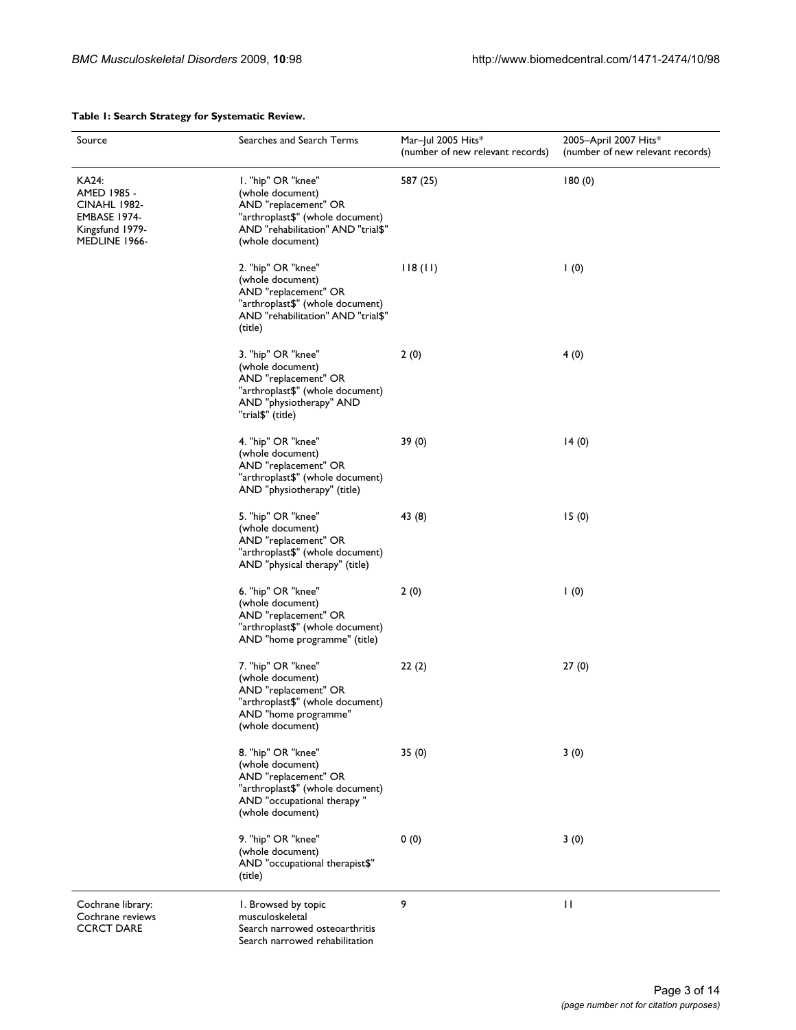| Source                                                                                          | Searches and Search Terms                                                                                                                                    | Mar-Jul 2005 Hits*<br>(number of new relevant records) | 2005-April 2007 Hits*<br>(number of new relevant records) |
|-------------------------------------------------------------------------------------------------|--------------------------------------------------------------------------------------------------------------------------------------------------------------|--------------------------------------------------------|-----------------------------------------------------------|
| KA24:<br>AMED 1985 -<br><b>CINAHL 1982-</b><br>EMBASE 1974-<br>Kingsfund 1979-<br>MEDLINE 1966- | I. "hip" OR "knee"<br>(whole document)<br>AND "replacement" OR<br>"arthroplast\$" (whole document)<br>AND "rehabilitation" AND "trial\$"<br>(whole document) | 587 (25)                                               | 180(0)                                                    |
|                                                                                                 | 2. "hip" OR "knee"<br>(whole document)<br>AND "replacement" OR<br>"arthroplast\$" (whole document)<br>AND "rehabilitation" AND "trial\$"<br>(title)          | 118(11)                                                | $\vert$ (0)                                               |
|                                                                                                 | 3. "hip" OR "knee"<br>(whole document)<br>AND "replacement" OR<br>"arthroplast\$" (whole document)<br>AND "physiotherapy" AND<br>"trial\$" (title)           | 2(0)                                                   | 4(0)                                                      |
|                                                                                                 | 4. "hip" OR "knee"<br>(whole document)<br>AND "replacement" OR<br>"arthroplast\$" (whole document)<br>AND "physiotherapy" (title)                            | 39(0)                                                  | 14(0)                                                     |
|                                                                                                 | 5. "hip" OR "knee"<br>(whole document)<br>AND "replacement" OR<br>"arthroplast\$" (whole document)<br>AND "physical therapy" (title)                         | 43 (8)                                                 | 15(0)                                                     |
|                                                                                                 | 6. "hip" OR "knee"<br>(whole document)<br>AND "replacement" OR<br>"arthroplast\$" (whole document)<br>AND "home programme" (title)                           | 2(0)                                                   | 1(0)                                                      |
|                                                                                                 | 7. "hip" OR "knee"<br>(whole document)<br>AND "replacement" OR<br>"arthroplast\$" (whole document)<br>AND "home programme"<br>(whole document)               | 22(2)                                                  | 27(0)                                                     |
|                                                                                                 | 8. "hip" OR "knee"<br>(whole document)<br>AND "replacement" OR<br>"arthroplast\$" (whole document)<br>AND "occupational therapy"<br>(whole document)         | 35(0)                                                  | 3(0)                                                      |
|                                                                                                 | 9. "hip" OR "knee"<br>(whole document)<br>AND "occupational therapist\$"<br>(title)                                                                          | 0(0)                                                   | 3(0)                                                      |
| Cochrane library:<br>Cochrane reviews<br><b>CCRCT DARE</b>                                      | I. Browsed by topic<br>musculoskeletal<br>Search narrowed osteoarthritis                                                                                     | 9                                                      | П                                                         |

Search narrowed rehabilitation

# **Table 1: Search Strategy for Systematic Review.**

Page 3 of 14 *(page number not for citation purposes)*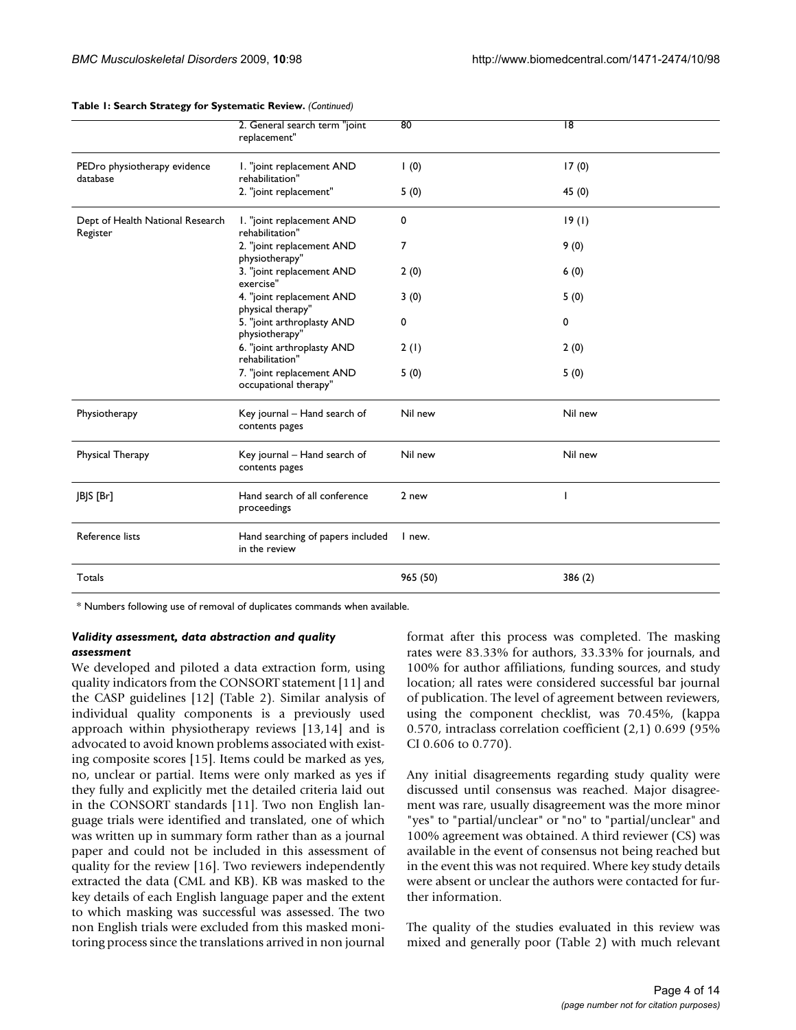|                                              | 2. General search term "joint<br>replacement"      | 80         | 18      |
|----------------------------------------------|----------------------------------------------------|------------|---------|
| PEDro physiotherapy evidence<br>database     | I. "joint replacement AND<br>rehabilitation"       | $\mid (0)$ | 17(0)   |
|                                              | 2. "joint replacement"                             | 5(0)       | 45 (0)  |
| Dept of Health National Research<br>Register | I. "joint replacement AND<br>rehabilitation"       | 0          | 19(1)   |
|                                              | 2. "joint replacement AND<br>physiotherapy"        | 7          | 9(0)    |
|                                              | 3. "joint replacement AND<br>exercise"             | 2(0)       | 6(0)    |
|                                              | 4. "joint replacement AND<br>physical therapy"     | 3(0)       | 5(0)    |
|                                              | 5. "joint arthroplasty AND<br>physiotherapy"       | 0          | 0       |
|                                              | 6. "joint arthroplasty AND<br>rehabilitation"      | 2(1)       | 2(0)    |
|                                              | 7. "joint replacement AND<br>occupational therapy" | 5(0)       | 5(0)    |
| Physiotherapy                                | Key journal - Hand search of<br>contents pages     | Nil new    | Nil new |
| Physical Therapy                             | Key journal – Hand search of<br>contents pages     | Nil new    | Nil new |
| JBJS [Br]                                    | Hand search of all conference<br>proceedings       | 2 new      |         |
| Reference lists                              | Hand searching of papers included<br>in the review | I new.     |         |
| Totals                                       |                                                    | 965 (50)   | 386 (2) |

#### **Table 1: Search Strategy for Systematic Review.** *(Continued)*

\* Numbers following use of removal of duplicates commands when available.

#### *Validity assessment, data abstraction and quality assessment*

We developed and piloted a data extraction form, using quality indicators from the CONSORT statement [11] and the CASP guidelines [12] (Table 2). Similar analysis of individual quality components is a previously used approach within physiotherapy reviews [13,14] and is advocated to avoid known problems associated with existing composite scores [15]. Items could be marked as yes, no, unclear or partial. Items were only marked as yes if they fully and explicitly met the detailed criteria laid out in the CONSORT standards [11]. Two non English language trials were identified and translated, one of which was written up in summary form rather than as a journal paper and could not be included in this assessment of quality for the review [16]. Two reviewers independently extracted the data (CML and KB). KB was masked to the key details of each English language paper and the extent to which masking was successful was assessed. The two non English trials were excluded from this masked monitoring process since the translations arrived in non journal

format after this process was completed. The masking rates were 83.33% for authors, 33.33% for journals, and 100% for author affiliations, funding sources, and study location; all rates were considered successful bar journal of publication. The level of agreement between reviewers, using the component checklist, was 70.45%, (kappa 0.570, intraclass correlation coefficient (2,1) 0.699 (95% CI 0.606 to 0.770).

Any initial disagreements regarding study quality were discussed until consensus was reached. Major disagreement was rare, usually disagreement was the more minor "yes" to "partial/unclear" or "no" to "partial/unclear" and 100% agreement was obtained. A third reviewer (CS) was available in the event of consensus not being reached but in the event this was not required. Where key study details were absent or unclear the authors were contacted for further information.

The quality of the studies evaluated in this review was mixed and generally poor (Table 2) with much relevant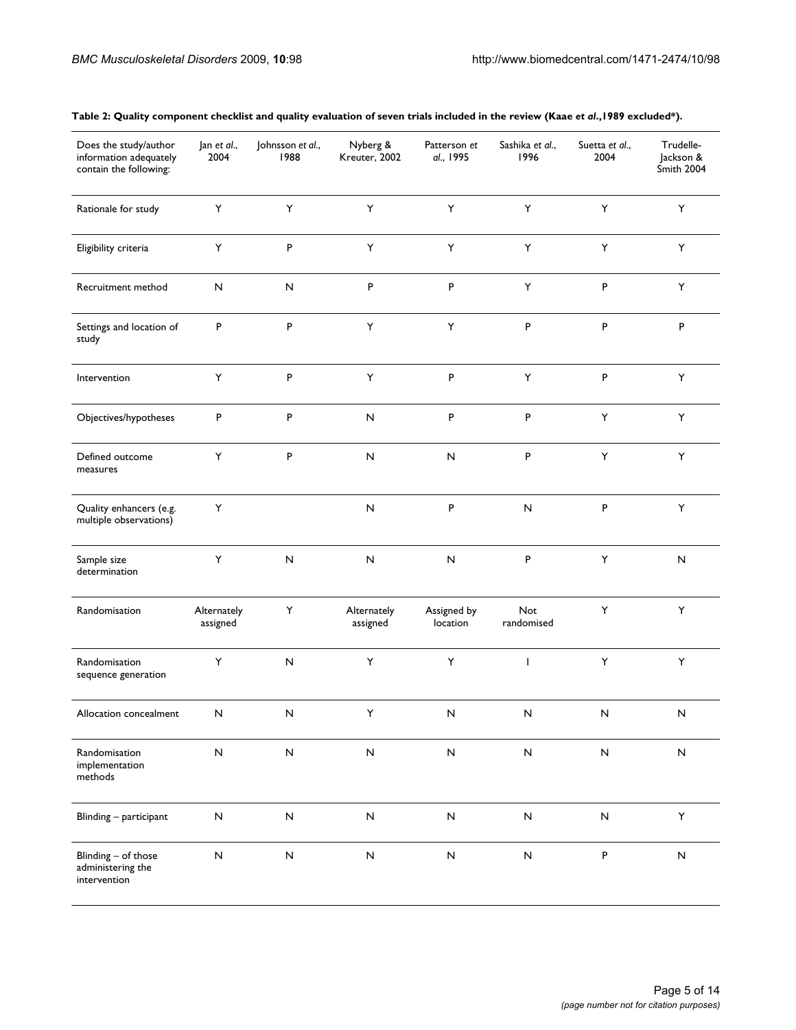| Does the study/author<br>information adequately<br>contain the following: | Jan et al.,<br>2004     | Johnsson et al.,<br>1988 | Nyberg &<br>Kreuter, 2002 | Patterson et<br>al., 1995 | Sashika et al.,<br>1996  | Suetta et al.,<br>2004 | Trudelle-<br>Jackson &<br>Smith 2004 |
|---------------------------------------------------------------------------|-------------------------|--------------------------|---------------------------|---------------------------|--------------------------|------------------------|--------------------------------------|
| Rationale for study                                                       | Υ                       | $\sf Y$                  | Υ                         | Υ                         | $\sf Y$                  | Υ                      | Υ                                    |
| Eligibility criteria                                                      | Υ                       | P                        | Υ                         | Υ                         | Υ                        | Υ                      | Υ                                    |
| Recruitment method                                                        | ${\sf N}$               | ${\sf N}$                | P                         | P                         | $\mathsf Y$              | P                      | Υ                                    |
| Settings and location of<br>study                                         | P                       | P                        | Υ                         | Y                         | P                        | P                      | P                                    |
| Intervention                                                              | $\mathsf Y$             | $\sf P$                  | $\mathsf Y$               | P                         | $\sf Y$                  | P                      | Y                                    |
| Objectives/hypotheses                                                     | P                       | P                        | $\sf N$                   | P                         | P                        | Υ                      | Υ                                    |
| Defined outcome<br>measures                                               | Υ                       | P                        | ${\sf N}$                 | ${\sf N}$                 | P                        | Y                      | Υ                                    |
| Quality enhancers (e.g.<br>multiple observations)                         | Y                       |                          | $\sf N$                   | P                         | ${\sf N}$                | $\sf P$                | Y                                    |
| Sample size<br>determination                                              | Υ                       | ${\sf N}$                | $\sf N$                   | ${\sf N}$                 | P                        | Υ                      | ${\sf N}$                            |
| Randomisation                                                             | Alternately<br>assigned | Υ                        | Alternately<br>assigned   | Assigned by<br>location   | <b>Not</b><br>randomised | Y                      | Y                                    |
| Randomisation<br>sequence generation                                      | Υ                       | ${\sf N}$                | Υ                         | Y                         | $\mathbf{I}$             | Υ                      | Y                                    |
| Allocation concealment                                                    | ${\sf N}$               | N                        | Υ                         | ${\sf N}$                 | ${\sf N}$                | ${\sf N}$              | $\sf N$                              |
| Randomisation<br>implementation<br>methods                                | ${\sf N}$               | ${\sf N}$                | ${\sf N}$                 | $\boldsymbol{\mathsf{N}}$ | $\hbox{\sf N}$           | ${\sf N}$              | ${\sf N}$                            |
| Blinding - participant                                                    | $\overline{\mathsf{N}}$ | ${\sf N}$                | ${\sf N}$                 | ${\sf N}$                 | $\hbox{\sf N}$           | $\hbox{\sf N}$         | Y                                    |
| Blinding - of those<br>administering the<br>intervention                  | $\overline{\mathsf{N}}$ | ${\sf N}$                | ${\sf N}$                 | ${\sf N}$                 | ${\sf N}$                | $\sf P$                | ${\sf N}$                            |

# **Table 2: Quality component checklist and quality evaluation of seven trials included in the review (Kaae** *et al***.,1989 excluded\*).**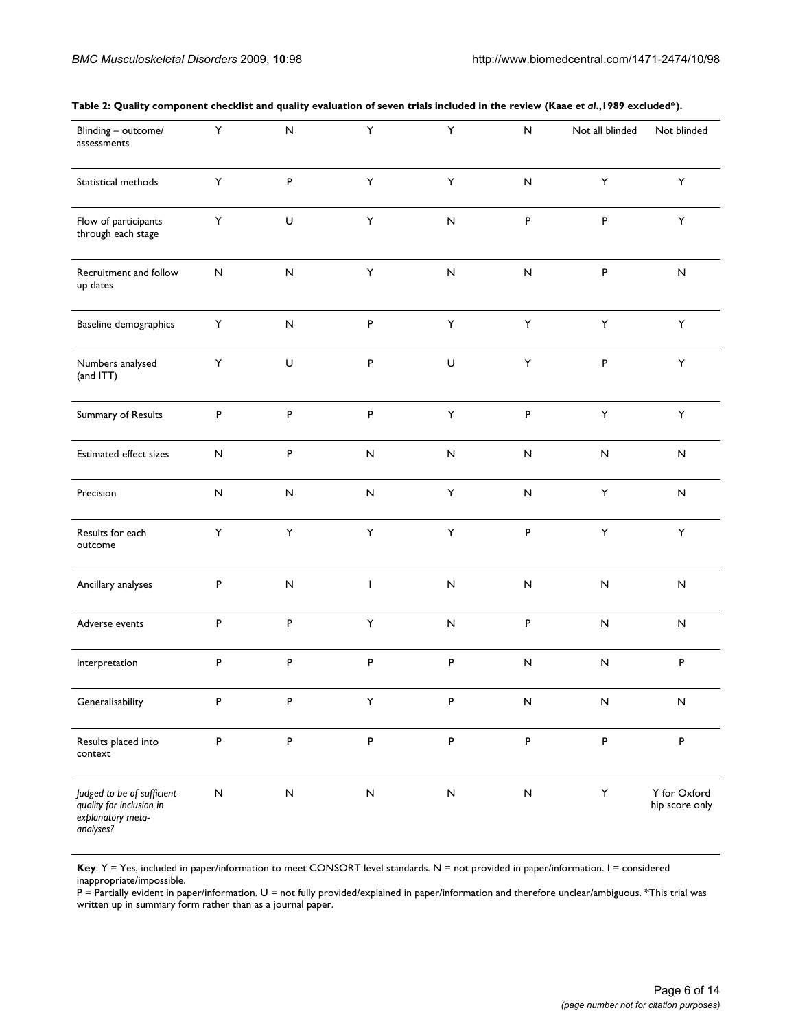| Blinding - outcome/<br>assessments                                                       | Υ            | ${\sf N}$   | Υ                         | Y         | ${\sf N}$                 | Not all blinded | Not blinded                    |
|------------------------------------------------------------------------------------------|--------------|-------------|---------------------------|-----------|---------------------------|-----------------|--------------------------------|
| Statistical methods                                                                      | Υ            | P           | $\sf Y$                   | Y         | ${\sf N}$                 | Υ               | Υ                              |
| Flow of participants<br>through each stage                                               | Υ            | $\mathsf U$ | $\sf Y$                   | ${\sf N}$ | P                         | $\sf P$         | $\mathsf Y$                    |
| Recruitment and follow<br>up dates                                                       | $\mathsf{N}$ | ${\sf N}$   | Υ                         | ${\sf N}$ | ${\sf N}$                 | $\sf P$         | N                              |
| Baseline demographics                                                                    | Υ            | ${\sf N}$   | P                         | Υ         | Y                         | Υ               | Υ                              |
| Numbers analysed<br>(and ITT)                                                            | Υ            | $\mathsf U$ | ${\sf P}$                 | $\cup$    | $\mathsf Y$               | $\sf P$         | Y                              |
| Summary of Results                                                                       | $\, {\sf P}$ | $\sf P$     | ${\sf P}$                 | Υ         | P                         | Υ               | Υ                              |
| Estimated effect sizes                                                                   | ${\sf N}$    | ${\sf P}$   | $\boldsymbol{\mathsf{N}}$ | N         | ${\sf N}$                 | ${\sf N}$       | N                              |
| Precision                                                                                | N            | ${\sf N}$   | ${\sf N}$                 | Y         | ${\sf N}$                 | Υ               | N                              |
| Results for each<br>outcome                                                              | Υ            | Υ           | $\sf Y$                   | Y         | P                         | Υ               | Υ                              |
| Ancillary analyses                                                                       | P            | ${\sf N}$   | $\mathbf{I}$              | ${\sf N}$ | ${\sf N}$                 | ${\sf N}$       | N                              |
| Adverse events                                                                           | P            | P           | Υ                         | ${\sf N}$ | P                         | $\sf N$         | N                              |
| Interpretation                                                                           | $\sf P$      | P           | P                         | P         | ${\sf N}$                 | ${\sf N}$       | P                              |
| Generalisability                                                                         | $\sf P$      | P           | Y                         | $\sf P$   | ${\sf N}$                 | $\mathsf{N}$    | ${\sf N}$                      |
| Results placed into<br>context                                                           | ${\sf P}$    | P           | $\sf P$                   | P         | ${\sf P}$                 | $\sf P$         | P                              |
| Judged to be of sufficient<br>quality for inclusion in<br>explanatory meta-<br>analyses? | ${\sf N}$    | ${\sf N}$   | $\boldsymbol{\mathsf{N}}$ | ${\sf N}$ | $\boldsymbol{\mathsf{N}}$ | Υ               | Y for Oxford<br>hip score only |

#### **Table 2: Quality component checklist and quality evaluation of seven trials included in the review (Kaae** *et al***.,1989 excluded\*).**

**Key**: Y = Yes, included in paper/information to meet CONSORT level standards. N = not provided in paper/information. I = considered inappropriate/impossible.

P = Partially evident in paper/information. U = not fully provided/explained in paper/information and therefore unclear/ambiguous. \*This trial was written up in summary form rather than as a journal paper.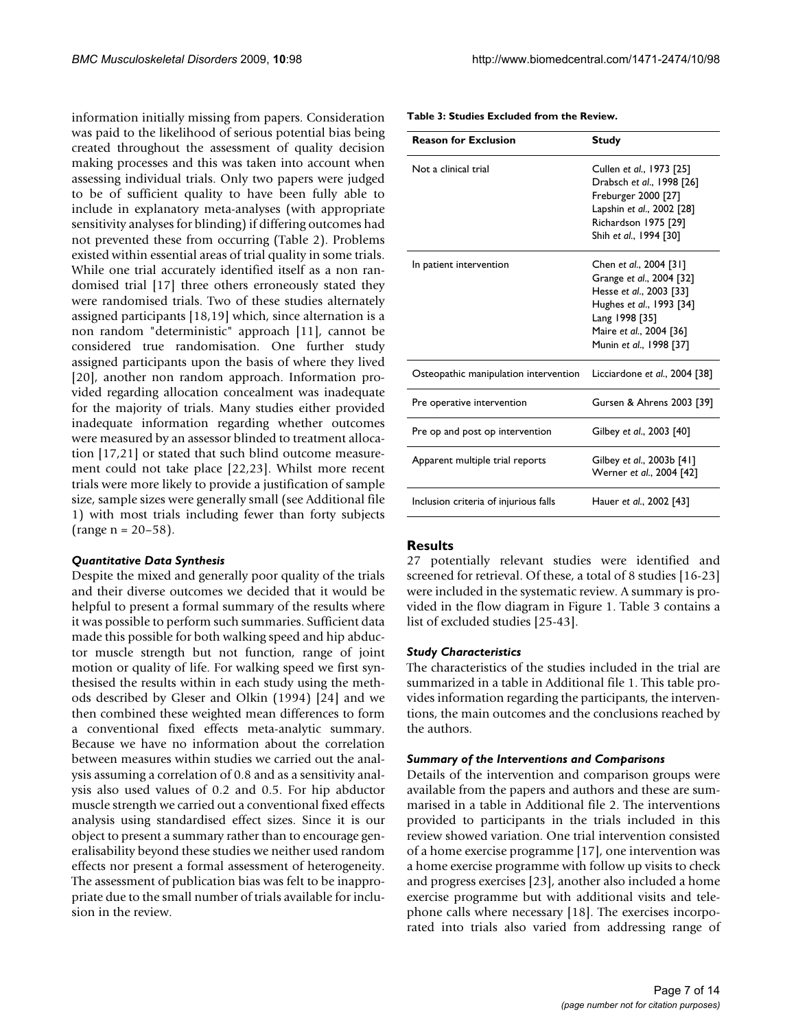information initially missing from papers. Consideration was paid to the likelihood of serious potential bias being created throughout the assessment of quality decision making processes and this was taken into account when assessing individual trials. Only two papers were judged to be of sufficient quality to have been fully able to include in explanatory meta-analyses (with appropriate sensitivity analyses for blinding) if differing outcomes had not prevented these from occurring (Table 2). Problems existed within essential areas of trial quality in some trials. While one trial accurately identified itself as a non randomised trial [17] three others erroneously stated they were randomised trials. Two of these studies alternately assigned participants [18,19] which, since alternation is a non random "deterministic" approach [11], cannot be considered true randomisation. One further study assigned participants upon the basis of where they lived [20], another non random approach. Information provided regarding allocation concealment was inadequate for the majority of trials. Many studies either provided inadequate information regarding whether outcomes were measured by an assessor blinded to treatment allocation [17,21] or stated that such blind outcome measurement could not take place [22,23]. Whilst more recent trials were more likely to provide a justification of sample size, sample sizes were generally small (see Additional file 1) with most trials including fewer than forty subjects  $(range n = 20-58).$ 

# *Quantitative Data Synthesis*

Despite the mixed and generally poor quality of the trials and their diverse outcomes we decided that it would be helpful to present a formal summary of the results where it was possible to perform such summaries. Sufficient data made this possible for both walking speed and hip abductor muscle strength but not function, range of joint motion or quality of life. For walking speed we first synthesised the results within in each study using the methods described by Gleser and Olkin (1994) [24] and we then combined these weighted mean differences to form a conventional fixed effects meta-analytic summary. Because we have no information about the correlation between measures within studies we carried out the analysis assuming a correlation of 0.8 and as a sensitivity analysis also used values of 0.2 and 0.5. For hip abductor muscle strength we carried out a conventional fixed effects analysis using standardised effect sizes. Since it is our object to present a summary rather than to encourage generalisability beyond these studies we neither used random effects nor present a formal assessment of heterogeneity. The assessment of publication bias was felt to be inappropriate due to the small number of trials available for inclusion in the review.

| <b>Reason for Exclusion</b>           | <b>Study</b>                                                                                                                                                                      |
|---------------------------------------|-----------------------------------------------------------------------------------------------------------------------------------------------------------------------------------|
| Not a clinical trial                  | Cullen et al., 1973 [25]<br>Drabsch et al., 1998 [26]<br>Freburger 2000 [27]<br>Lapshin et al., 2002 [28]<br>Richardson 1975 [29]<br>Shih et al., 1994 [30]                       |
| In patient intervention               | Chen et al., 2004 [31]<br>Grange et al., 2004 [32]<br>Hesse et al., 2003 [33]<br>Hughes et al., 1993 [34]<br>Lang 1998 [35]<br>Maire et al., 2004 [36]<br>Munin et al., 1998 [37] |
| Osteopathic manipulation intervention | Licciardone et al., 2004 [38]                                                                                                                                                     |
| Pre operative intervention            | Gursen & Ahrens 2003 [39]                                                                                                                                                         |
| Pre op and post op intervention       | Gilbey et al., 2003 [40]                                                                                                                                                          |
| Apparent multiple trial reports       | Gilbey et al., 2003b [41]<br>Werner et al., 2004 [42]                                                                                                                             |
| Inclusion criteria of injurious falls | Hauer et al., 2002 [43]                                                                                                                                                           |

**Table 3: Studies Excluded from the Review.**

# **Results**

27 potentially relevant studies were identified and screened for retrieval. Of these, a total of 8 studies [16-23] were included in the systematic review. A summary is provided in the flow diagram in Figure 1. Table 3 contains a list of excluded studies [25-43].

# *Study Characteristics*

The characteristics of the studies included in the trial are summarized in a table in Additional file 1. This table provides information regarding the participants, the interventions, the main outcomes and the conclusions reached by the authors.

# *Summary of the Interventions and Comparisons*

Details of the intervention and comparison groups were available from the papers and authors and these are summarised in a table in Additional file 2. The interventions provided to participants in the trials included in this review showed variation. One trial intervention consisted of a home exercise programme [17], one intervention was a home exercise programme with follow up visits to check and progress exercises [23], another also included a home exercise programme but with additional visits and telephone calls where necessary [18]. The exercises incorporated into trials also varied from addressing range of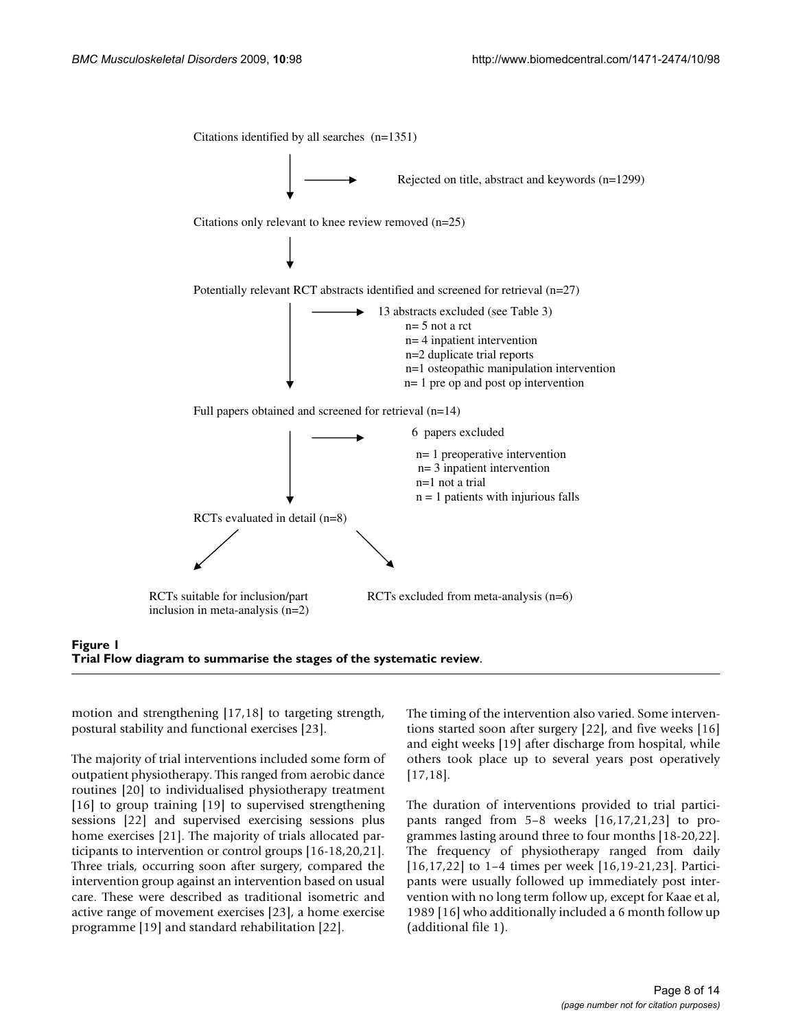

# Figure 1 **Trial Flow diagram to summarise the stages of the systematic review**.

motion and strengthening [17,18] to targeting strength, postural stability and functional exercises [23].

The majority of trial interventions included some form of outpatient physiotherapy. This ranged from aerobic dance routines [20] to individualised physiotherapy treatment [16] to group training [19] to supervised strengthening sessions [22] and supervised exercising sessions plus home exercises [21]. The majority of trials allocated participants to intervention or control groups [16-18,20,21]. Three trials, occurring soon after surgery, compared the intervention group against an intervention based on usual care. These were described as traditional isometric and active range of movement exercises [23], a home exercise programme [19] and standard rehabilitation [22].

The timing of the intervention also varied. Some interventions started soon after surgery [22], and five weeks [16] and eight weeks [19] after discharge from hospital, while others took place up to several years post operatively [17,18].

The duration of interventions provided to trial participants ranged from 5–8 weeks [16,17,21,23] to programmes lasting around three to four months [18-20,22]. The frequency of physiotherapy ranged from daily [16,17,22] to 1–4 times per week [16,19-21,23]. Participants were usually followed up immediately post intervention with no long term follow up, except for Kaae et al, 1989 [16] who additionally included a 6 month follow up (additional file 1).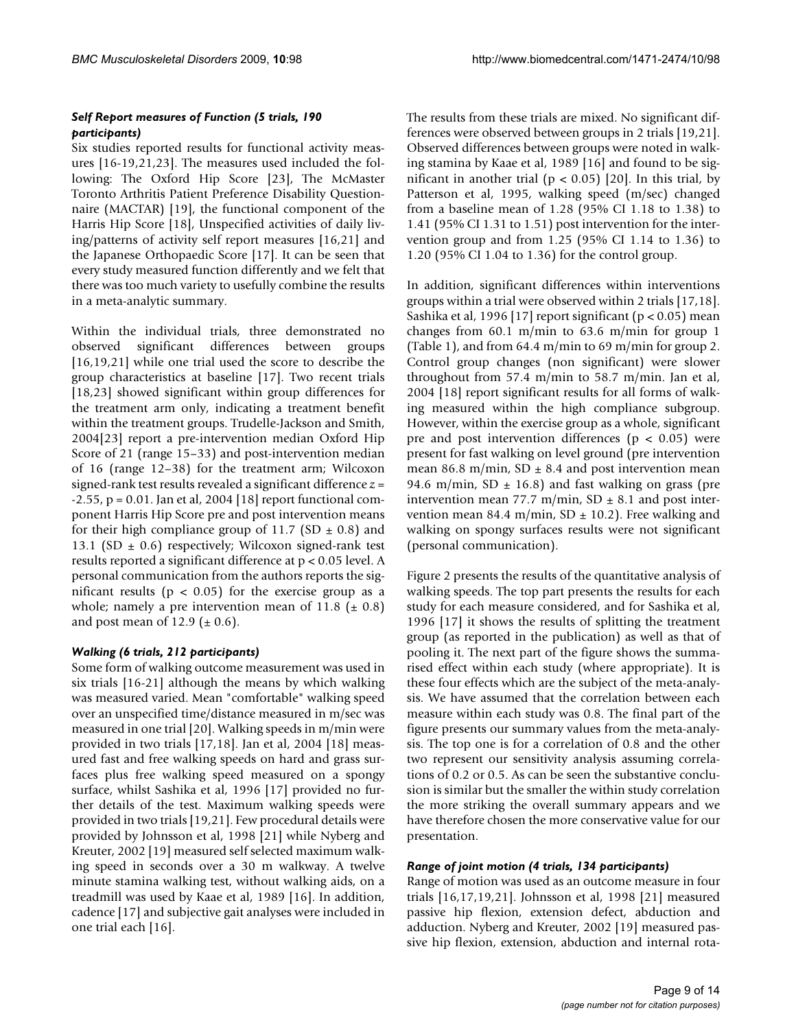# *Self Report measures of Function (5 trials, 190 participants)*

Six studies reported results for functional activity measures [16-19,21,23]. The measures used included the following: The Oxford Hip Score [23], The McMaster Toronto Arthritis Patient Preference Disability Questionnaire (MACTAR) [19], the functional component of the Harris Hip Score [18], Unspecified activities of daily living/patterns of activity self report measures [16,21] and the Japanese Orthopaedic Score [17]. It can be seen that every study measured function differently and we felt that there was too much variety to usefully combine the results in a meta-analytic summary.

Within the individual trials, three demonstrated no observed significant differences between groups [16,19,21] while one trial used the score to describe the group characteristics at baseline [17]. Two recent trials [18,23] showed significant within group differences for the treatment arm only, indicating a treatment benefit within the treatment groups. Trudelle-Jackson and Smith, 2004[23] report a pre-intervention median Oxford Hip Score of 21 (range 15–33) and post-intervention median of 16 (range 12–38) for the treatment arm; Wilcoxon signed-rank test results revealed a significant difference *z* =  $-2.55$ , p = 0.01. Jan et al, 2004 [18] report functional component Harris Hip Score pre and post intervention means for their high compliance group of 11.7 (SD  $\pm$  0.8) and 13.1 (SD  $\pm$  0.6) respectively; Wilcoxon signed-rank test results reported a significant difference at p < 0.05 level. A personal communication from the authors reports the significant results ( $p < 0.05$ ) for the exercise group as a whole; namely a pre intervention mean of 11.8 ( $\pm$  0.8) and post mean of 12.9 ( $\pm$  0.6).

# *Walking (6 trials, 212 participants)*

Some form of walking outcome measurement was used in six trials [16-21] although the means by which walking was measured varied. Mean "comfortable" walking speed over an unspecified time/distance measured in m/sec was measured in one trial [20]. Walking speeds in m/min were provided in two trials [17,18]. Jan et al, 2004 [18] measured fast and free walking speeds on hard and grass surfaces plus free walking speed measured on a spongy surface, whilst Sashika et al, 1996 [17] provided no further details of the test. Maximum walking speeds were provided in two trials [19,21]. Few procedural details were provided by Johnsson et al, 1998 [21] while Nyberg and Kreuter, 2002 [19] measured self selected maximum walking speed in seconds over a 30 m walkway. A twelve minute stamina walking test, without walking aids, on a treadmill was used by Kaae et al, 1989 [16]. In addition, cadence [17] and subjective gait analyses were included in one trial each [16].

The results from these trials are mixed. No significant differences were observed between groups in 2 trials [19,21]. Observed differences between groups were noted in walking stamina by Kaae et al, 1989 [16] and found to be significant in another trial ( $p < 0.05$ ) [20]. In this trial, by Patterson et al, 1995, walking speed (m/sec) changed from a baseline mean of 1.28 (95% CI 1.18 to 1.38) to 1.41 (95% CI 1.31 to 1.51) post intervention for the intervention group and from 1.25 (95% CI 1.14 to 1.36) to 1.20 (95% CI 1.04 to 1.36) for the control group.

In addition, significant differences within interventions groups within a trial were observed within 2 trials [17,18]. Sashika et al, 1996 [17] report significant (p < 0.05) mean changes from 60.1 m/min to 63.6 m/min for group 1 (Table 1), and from 64.4 m/min to 69 m/min for group 2. Control group changes (non significant) were slower throughout from 57.4 m/min to 58.7 m/min. Jan et al, 2004 [18] report significant results for all forms of walking measured within the high compliance subgroup. However, within the exercise group as a whole, significant pre and post intervention differences ( $p < 0.05$ ) were present for fast walking on level ground (pre intervention mean 86.8 m/min,  $SD \pm 8.4$  and post intervention mean 94.6 m/min, SD  $\pm$  16.8) and fast walking on grass (pre intervention mean 77.7 m/min,  $SD \pm 8.1$  and post intervention mean 84.4 m/min, SD  $\pm$  10.2). Free walking and walking on spongy surfaces results were not significant (personal communication).

Figure 2 presents the results of the quantitative analysis of walking speeds. The top part presents the results for each study for each measure considered, and for Sashika et al, 1996 [17] it shows the results of splitting the treatment group (as reported in the publication) as well as that of pooling it. The next part of the figure shows the summarised effect within each study (where appropriate). It is these four effects which are the subject of the meta-analysis. We have assumed that the correlation between each measure within each study was 0.8. The final part of the figure presents our summary values from the meta-analysis. The top one is for a correlation of 0.8 and the other two represent our sensitivity analysis assuming correlations of 0.2 or 0.5. As can be seen the substantive conclusion is similar but the smaller the within study correlation the more striking the overall summary appears and we have therefore chosen the more conservative value for our presentation.

# *Range of joint motion (4 trials, 134 participants)*

Range of motion was used as an outcome measure in four trials [16,17,19,21]. Johnsson et al, 1998 [21] measured passive hip flexion, extension defect, abduction and adduction. Nyberg and Kreuter, 2002 [19] measured passive hip flexion, extension, abduction and internal rota-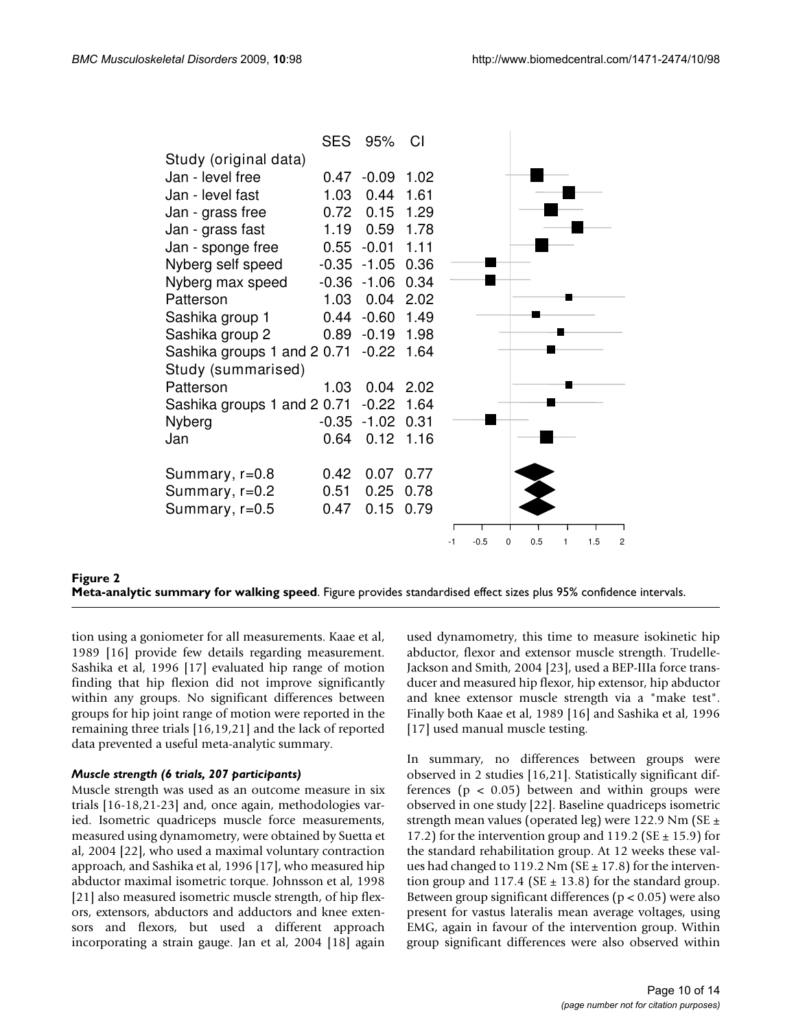|                             | <b>SES</b> | 95%     | CI   |      |        |   |     |   |     |                |
|-----------------------------|------------|---------|------|------|--------|---|-----|---|-----|----------------|
| Study (original data)       |            |         |      |      |        |   |     |   |     |                |
| Jan - level free            | 0.47       | $-0.09$ | 1.02 |      |        |   |     |   |     |                |
| Jan - level fast            | 1.03       | 0.44    | 1.61 |      |        |   |     |   |     |                |
| Jan - grass free            | 0.72       | 0.15    | 1.29 |      |        |   |     |   |     |                |
| Jan - grass fast            | 1.19       | 0.59    | 1.78 |      |        |   |     |   |     |                |
| Jan - sponge free           | 0.55       | $-0.01$ | 1.11 |      |        |   |     |   |     |                |
| Nyberg self speed           | $-0.35$    | $-1.05$ | 0.36 |      |        |   |     |   |     |                |
| Nyberg max speed            | $-0.36$    | $-1.06$ | 0.34 |      |        |   |     |   |     |                |
| Patterson                   | 1.03       | 0.04    | 2.02 |      |        |   |     |   |     |                |
| Sashika group 1             | 0.44       | $-0.60$ | 1.49 |      |        |   |     |   |     |                |
| Sashika group 2             | 0.89       | $-0.19$ | 1.98 |      |        |   |     |   |     |                |
| Sashika groups 1 and 2 0.71 |            | $-0.22$ | 1.64 |      |        |   |     |   |     |                |
| Study (summarised)          |            |         |      |      |        |   |     |   |     |                |
| Patterson                   | 1.03       | 0.04    | 2.02 |      |        |   |     |   |     |                |
| Sashika groups 1 and 2 0.71 |            | $-0.22$ | 1.64 |      |        |   |     |   |     |                |
| Nyberg                      | $-0.35$    | $-1.02$ | 0.31 |      |        |   |     |   |     |                |
| Jan                         | 0.64       | 0.12    | 1.16 |      |        |   |     |   |     |                |
| Summary, r=0.8              | 0.42       | 0.07    | 0.77 |      |        |   |     |   |     |                |
| Summary, r=0.2              | 0.51       | 0.25    | 0.78 |      |        |   |     |   |     |                |
| Summary, $r=0.5$            | 0.47       | 0.15    | 0.79 |      |        |   |     |   |     |                |
|                             |            |         |      |      |        |   |     |   |     |                |
|                             |            |         |      | $-1$ | $-0.5$ | 0 | 0.5 | 1 | 1.5 | $\overline{c}$ |

# **Figure 2 Meta-analytic summary for walking speed**. Figure provides standardised effect sizes plus 95% confidence intervals.

tion using a goniometer for all measurements. Kaae et al, 1989 [16] provide few details regarding measurement. Sashika et al, 1996 [17] evaluated hip range of motion finding that hip flexion did not improve significantly within any groups. No significant differences between groups for hip joint range of motion were reported in the remaining three trials [16,19,21] and the lack of reported data prevented a useful meta-analytic summary.

# *Muscle strength (6 trials, 207 participants)*

Muscle strength was used as an outcome measure in six trials [16-18,21-23] and, once again, methodologies varied. Isometric quadriceps muscle force measurements, measured using dynamometry, were obtained by Suetta et al, 2004 [22], who used a maximal voluntary contraction approach, and Sashika et al, 1996 [17], who measured hip abductor maximal isometric torque. Johnsson et al, 1998 [21] also measured isometric muscle strength, of hip flexors, extensors, abductors and adductors and knee extensors and flexors, but used a different approach incorporating a strain gauge. Jan et al, 2004 [18] again

used dynamometry, this time to measure isokinetic hip abductor, flexor and extensor muscle strength. Trudelle-Jackson and Smith, 2004 [23], used a BEP-IIIa force transducer and measured hip flexor, hip extensor, hip abductor and knee extensor muscle strength via a "make test". Finally both Kaae et al, 1989 [16] and Sashika et al, 1996 [17] used manual muscle testing.

In summary, no differences between groups were observed in 2 studies [16,21]. Statistically significant differences ( $p < 0.05$ ) between and within groups were observed in one study [22]. Baseline quadriceps isometric strength mean values (operated leg) were 122.9 Nm (SE  $\pm$ 17.2) for the intervention group and 119.2 ( $SE \pm 15.9$ ) for the standard rehabilitation group. At 12 weeks these values had changed to 119.2 Nm ( $SE \pm 17.8$ ) for the intervention group and 117.4 (SE  $\pm$  13.8) for the standard group. Between group significant differences ( $p < 0.05$ ) were also present for vastus lateralis mean average voltages, using EMG, again in favour of the intervention group. Within group significant differences were also observed within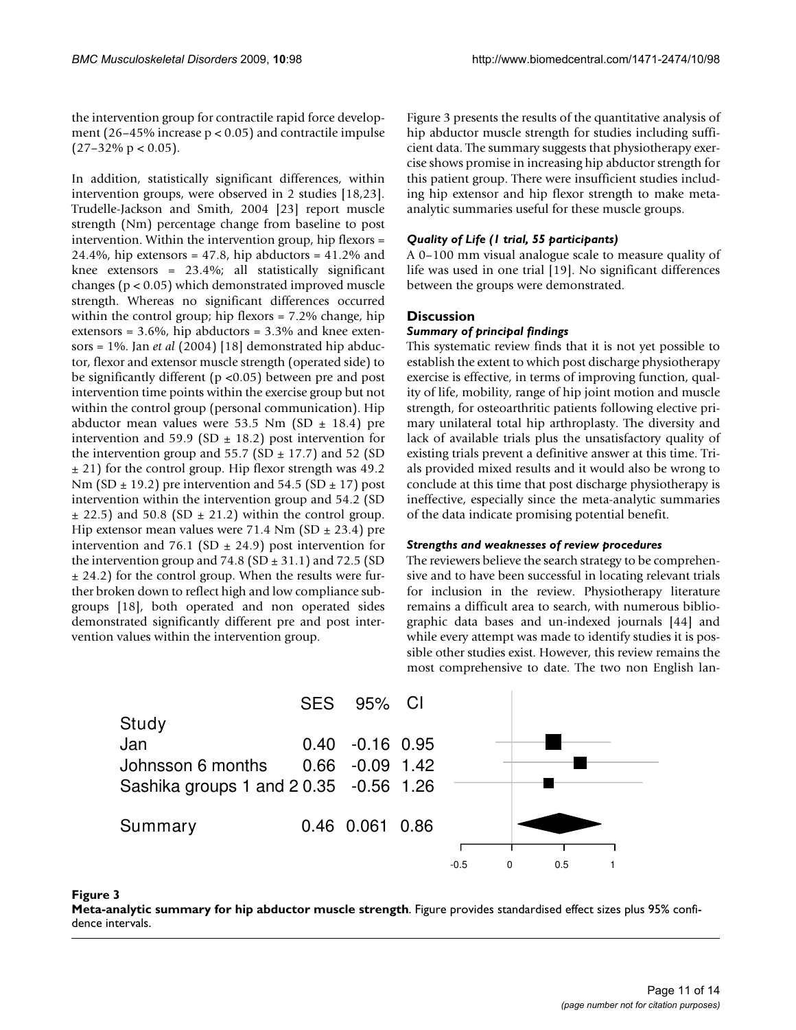the intervention group for contractile rapid force development (26–45% increase  $p < 0.05$ ) and contractile impulse  $(27-32\% \text{ p} < 0.05)$ .

In addition, statistically significant differences, within intervention groups, were observed in 2 studies [18,23]. Trudelle-Jackson and Smith, 2004 [23] report muscle strength (Nm) percentage change from baseline to post intervention. Within the intervention group, hip flexors = 24.4%, hip extensors =  $47.8$ , hip abductors =  $41.2\%$  and knee extensors = 23.4%; all statistically significant changes (p < 0.05) which demonstrated improved muscle strength. Whereas no significant differences occurred within the control group; hip flexors = 7.2% change, hip extensors =  $3.6\%$ , hip abductors =  $3.3\%$  and knee extensors = 1%. Jan *et al* (2004) [18] demonstrated hip abductor, flexor and extensor muscle strength (operated side) to be significantly different (p <0.05) between pre and post intervention time points within the exercise group but not within the control group (personal communication). Hip abductor mean values were 53.5 Nm (SD  $\pm$  18.4) pre intervention and 59.9 (SD  $\pm$  18.2) post intervention for the intervention group and  $55.7$  (SD  $\pm$  17.7) and 52 (SD  $\pm$  21) for the control group. Hip flexor strength was 49.2 Nm (SD  $\pm$  19.2) pre intervention and 54.5 (SD  $\pm$  17) post intervention within the intervention group and 54.2 (SD  $\pm$  22.5) and 50.8 (SD  $\pm$  21.2) within the control group. Hip extensor mean values were 71.4 Nm (SD  $\pm$  23.4) pre intervention and 76.1 (SD  $\pm$  24.9) post intervention for the intervention group and  $74.8$  (SD  $\pm$  31.1) and 72.5 (SD  $\pm$  24.2) for the control group. When the results were further broken down to reflect high and low compliance subgroups [18], both operated and non operated sides demonstrated significantly different pre and post intervention values within the intervention group.

Figure 3 presents the results of the quantitative analysis of hip abductor muscle strength for studies including sufficient data. The summary suggests that physiotherapy exercise shows promise in increasing hip abductor strength for this patient group. There were insufficient studies including hip extensor and hip flexor strength to make metaanalytic summaries useful for these muscle groups.

# *Quality of Life (1 trial, 55 participants)*

A 0–100 mm visual analogue scale to measure quality of life was used in one trial [19]. No significant differences between the groups were demonstrated.

# **Discussion**

# *Summary of principal findings*

This systematic review finds that it is not yet possible to establish the extent to which post discharge physiotherapy exercise is effective, in terms of improving function, quality of life, mobility, range of hip joint motion and muscle strength, for osteoarthritic patients following elective primary unilateral total hip arthroplasty. The diversity and lack of available trials plus the unsatisfactory quality of existing trials prevent a definitive answer at this time. Trials provided mixed results and it would also be wrong to conclude at this time that post discharge physiotherapy is ineffective, especially since the meta-analytic summaries of the data indicate promising potential benefit.

# *Strengths and weaknesses of review procedures*

The reviewers believe the search strategy to be comprehensive and to have been successful in locating relevant trials for inclusion in the review. Physiotherapy literature remains a difficult area to search, with numerous bibliographic data bases and un-indexed journals [44] and while every attempt was made to identify studies it is possible other studies exist. However, this review remains the most comprehensive to date. The two non English lan-





**Figure 3** 

**Meta-analytic summary for hip abductor muscle strength**. Figure provides standardised effect sizes plus 95% confidence intervals.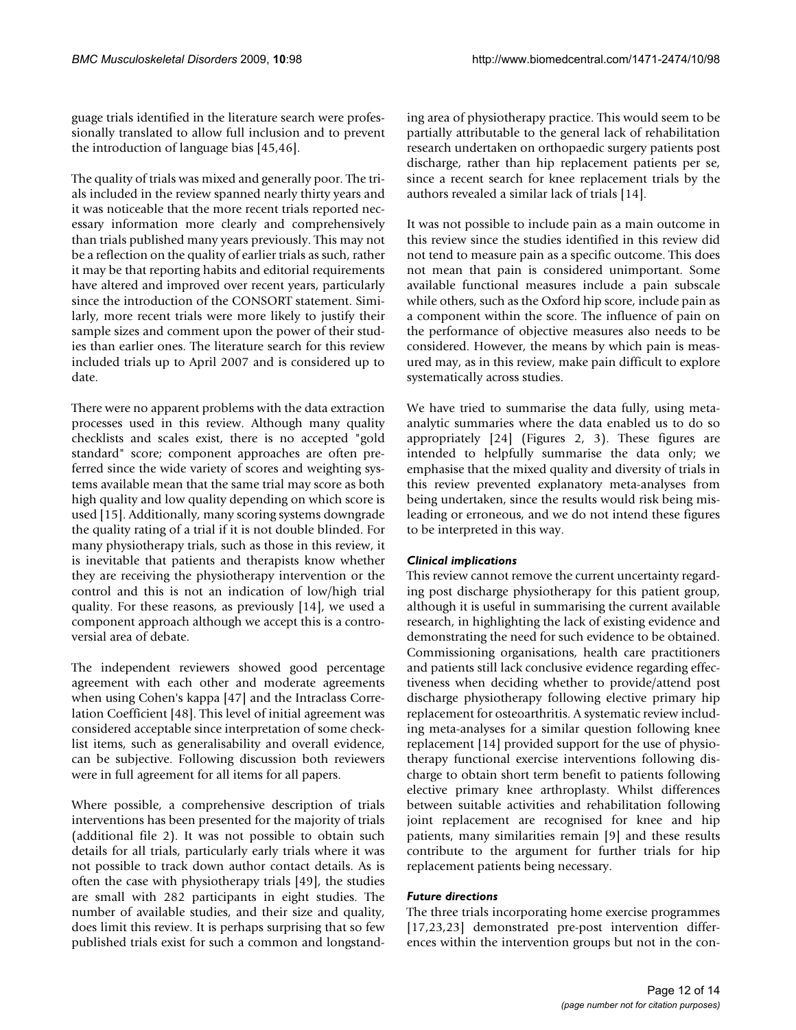guage trials identified in the literature search were professionally translated to allow full inclusion and to prevent the introduction of language bias [45,46].

The quality of trials was mixed and generally poor. The trials included in the review spanned nearly thirty years and it was noticeable that the more recent trials reported necessary information more clearly and comprehensively than trials published many years previously. This may not be a reflection on the quality of earlier trials as such, rather it may be that reporting habits and editorial requirements have altered and improved over recent years, particularly since the introduction of the CONSORT statement. Similarly, more recent trials were more likely to justify their sample sizes and comment upon the power of their studies than earlier ones. The literature search for this review included trials up to April 2007 and is considered up to date.

There were no apparent problems with the data extraction processes used in this review. Although many quality checklists and scales exist, there is no accepted "gold standard" score; component approaches are often preferred since the wide variety of scores and weighting systems available mean that the same trial may score as both high quality and low quality depending on which score is used [15]. Additionally, many scoring systems downgrade the quality rating of a trial if it is not double blinded. For many physiotherapy trials, such as those in this review, it is inevitable that patients and therapists know whether they are receiving the physiotherapy intervention or the control and this is not an indication of low/high trial quality. For these reasons, as previously [14], we used a component approach although we accept this is a controversial area of debate.

The independent reviewers showed good percentage agreement with each other and moderate agreements when using Cohen's kappa [47] and the Intraclass Correlation Coefficient [48]. This level of initial agreement was considered acceptable since interpretation of some checklist items, such as generalisability and overall evidence, can be subjective. Following discussion both reviewers were in full agreement for all items for all papers.

Where possible, a comprehensive description of trials interventions has been presented for the majority of trials (additional file 2). It was not possible to obtain such details for all trials, particularly early trials where it was not possible to track down author contact details. As is often the case with physiotherapy trials [49], the studies are small with 282 participants in eight studies. The number of available studies, and their size and quality, does limit this review. It is perhaps surprising that so few published trials exist for such a common and longstanding area of physiotherapy practice. This would seem to be partially attributable to the general lack of rehabilitation research undertaken on orthopaedic surgery patients post discharge, rather than hip replacement patients per se, since a recent search for knee replacement trials by the authors revealed a similar lack of trials [14].

It was not possible to include pain as a main outcome in this review since the studies identified in this review did not tend to measure pain as a specific outcome. This does not mean that pain is considered unimportant. Some available functional measures include a pain subscale while others, such as the Oxford hip score, include pain as a component within the score. The influence of pain on the performance of objective measures also needs to be considered. However, the means by which pain is measured may, as in this review, make pain difficult to explore systematically across studies.

We have tried to summarise the data fully, using metaanalytic summaries where the data enabled us to do so appropriately [24] (Figures 2, 3). These figures are intended to helpfully summarise the data only; we emphasise that the mixed quality and diversity of trials in this review prevented explanatory meta-analyses from being undertaken, since the results would risk being misleading or erroneous, and we do not intend these figures to be interpreted in this way.

# *Clinical implications*

This review cannot remove the current uncertainty regarding post discharge physiotherapy for this patient group, although it is useful in summarising the current available research, in highlighting the lack of existing evidence and demonstrating the need for such evidence to be obtained. Commissioning organisations, health care practitioners and patients still lack conclusive evidence regarding effectiveness when deciding whether to provide/attend post discharge physiotherapy following elective primary hip replacement for osteoarthritis. A systematic review including meta-analyses for a similar question following knee replacement [14] provided support for the use of physiotherapy functional exercise interventions following discharge to obtain short term benefit to patients following elective primary knee arthroplasty. Whilst differences between suitable activities and rehabilitation following joint replacement are recognised for knee and hip patients, many similarities remain [9] and these results contribute to the argument for further trials for hip replacement patients being necessary.

# *Future directions*

The three trials incorporating home exercise programmes [17,23,23] demonstrated pre-post intervention differences within the intervention groups but not in the con-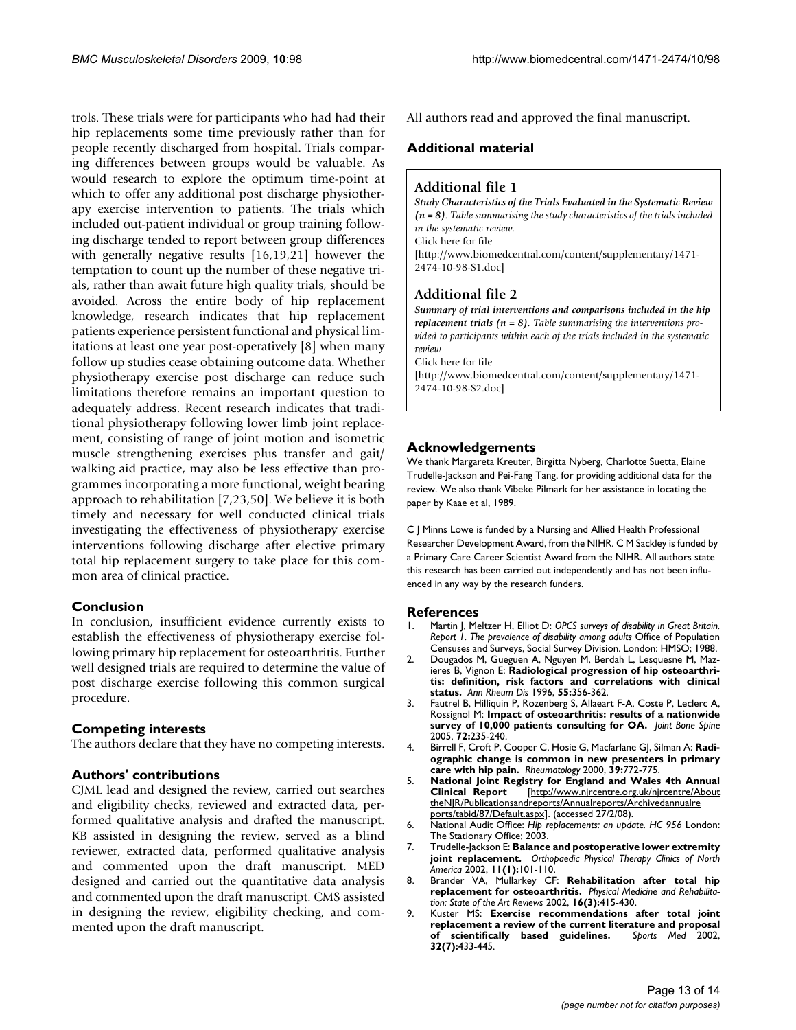trols. These trials were for participants who had had their hip replacements some time previously rather than for people recently discharged from hospital. Trials comparing differences between groups would be valuable. As would research to explore the optimum time-point at which to offer any additional post discharge physiotherapy exercise intervention to patients. The trials which included out-patient individual or group training following discharge tended to report between group differences with generally negative results [16,19,21] however the temptation to count up the number of these negative trials, rather than await future high quality trials, should be avoided. Across the entire body of hip replacement knowledge, research indicates that hip replacement patients experience persistent functional and physical limitations at least one year post-operatively [8] when many follow up studies cease obtaining outcome data. Whether physiotherapy exercise post discharge can reduce such limitations therefore remains an important question to adequately address. Recent research indicates that traditional physiotherapy following lower limb joint replacement, consisting of range of joint motion and isometric muscle strengthening exercises plus transfer and gait/ walking aid practice, may also be less effective than programmes incorporating a more functional, weight bearing approach to rehabilitation [7,23,50]. We believe it is both timely and necessary for well conducted clinical trials investigating the effectiveness of physiotherapy exercise interventions following discharge after elective primary total hip replacement surgery to take place for this common area of clinical practice.

# **Conclusion**

In conclusion, insufficient evidence currently exists to establish the effectiveness of physiotherapy exercise following primary hip replacement for osteoarthritis. Further well designed trials are required to determine the value of post discharge exercise following this common surgical procedure.

# **Competing interests**

The authors declare that they have no competing interests.

# **Authors' contributions**

CJML lead and designed the review, carried out searches and eligibility checks, reviewed and extracted data, performed qualitative analysis and drafted the manuscript. KB assisted in designing the review, served as a blind reviewer, extracted data, performed qualitative analysis and commented upon the draft manuscript. MED designed and carried out the quantitative data analysis and commented upon the draft manuscript. CMS assisted in designing the review, eligibility checking, and commented upon the draft manuscript.

All authors read and approved the final manuscript.

# **Additional material**

# **Additional file 1**

*Study Characteristics of the Trials Evaluated in the Systematic Review (n = 8). Table summarising the study characteristics of the trials included in the systematic review.* Click here for file [\[http://www.biomedcentral.com/content/supplementary/1471-](http://www.biomedcentral.com/content/supplementary/1471-2474-10-98-S1.doc) 2474-10-98-S1.doc]

# **Additional file 2**

*Summary of trial interventions and comparisons included in the hip replacement trials (n = 8). Table summarising the interventions provided to participants within each of the trials included in the systematic review* Click here for file

[\[http://www.biomedcentral.com/content/supplementary/1471-](http://www.biomedcentral.com/content/supplementary/1471-2474-10-98-S2.doc) 2474-10-98-S2.doc]

# **Acknowledgements**

We thank Margareta Kreuter, Birgitta Nyberg, Charlotte Suetta, Elaine Trudelle-Jackson and Pei-Fang Tang, for providing additional data for the review. We also thank Vibeke Pilmark for her assistance in locating the paper by Kaae et al, 1989.

C J Minns Lowe is funded by a Nursing and Allied Health Professional Researcher Development Award, from the NIHR. C M Sackley is funded by a Primary Care Career Scientist Award from the NIHR. All authors state this research has been carried out independently and has not been influenced in any way by the research funders.

# **References**

- 1. Martin J, Meltzer H, Elliot D: *OPCS surveys of disability in Great Britain. Report 1. The prevalence of disability among adults* Office of Population Censuses and Surveys, Social Survey Division. London: HMSO; 1988.
- 2. Dougados M, Gueguen A, Nguyen M, Berdah L, Lesquesne M, Mazieres B, Vignon E: **[Radiological progression of hip osteoarthri](http://www.ncbi.nlm.nih.gov/entrez/query.fcgi?cmd=Retrieve&db=PubMed&dopt=Abstract&list_uids=8694574)[tis: definition, risk factors and correlations with clinical](http://www.ncbi.nlm.nih.gov/entrez/query.fcgi?cmd=Retrieve&db=PubMed&dopt=Abstract&list_uids=8694574) [status.](http://www.ncbi.nlm.nih.gov/entrez/query.fcgi?cmd=Retrieve&db=PubMed&dopt=Abstract&list_uids=8694574)** *Ann Rheum Dis* 1996, **55:**356-362.
- 3. Fautrel B, Hilliquin P, Rozenberg S, Allaeart F-A, Coste P, Leclerc A, Rossignol M: **[Impact of osteoarthritis: results of a nationwide](http://www.ncbi.nlm.nih.gov/entrez/query.fcgi?cmd=Retrieve&db=PubMed&dopt=Abstract&list_uids=15850995) [survey of 10,000 patients consulting for OA.](http://www.ncbi.nlm.nih.gov/entrez/query.fcgi?cmd=Retrieve&db=PubMed&dopt=Abstract&list_uids=15850995)** *Joint Bone Spine* 2005, **72:**235-240.
- 4. Birrell F, Croft P, Cooper C, Hosie G, Macfarlane GJ, Silman A: **[Radi](http://www.ncbi.nlm.nih.gov/entrez/query.fcgi?cmd=Retrieve&db=PubMed&dopt=Abstract&list_uids=10908697)[ographic change is common in new presenters in primary](http://www.ncbi.nlm.nih.gov/entrez/query.fcgi?cmd=Retrieve&db=PubMed&dopt=Abstract&list_uids=10908697) [care with hip pain.](http://www.ncbi.nlm.nih.gov/entrez/query.fcgi?cmd=Retrieve&db=PubMed&dopt=Abstract&list_uids=10908697)** *Rheumatology* 2000, **39:**772-775.
- 5. **National Joint Registry for England and Wales 4th Annual Clinical Report** [\[http://www.njrcentre.org.uk/njrcentre/About](http://www.njrcentre.org.uk/njrcentre/AbouttheNJR/Publicationsandreports/Annualreports/Archivedannualreports/tabid/87/Default.aspx) [theNJR/Publicationsandreports/Annualreports/Archivedannualre](http://www.njrcentre.org.uk/njrcentre/AbouttheNJR/Publicationsandreports/Annualreports/Archivedannualreports/tabid/87/Default.aspx) [ports/tabid/87/Default.aspx\]](http://www.njrcentre.org.uk/njrcentre/AbouttheNJR/Publicationsandreports/Annualreports/Archivedannualreports/tabid/87/Default.aspx). (accessed 27/2/08).
- 6. National Audit Office: *Hip replacements: an update. HC 956* London: The Stationary Office; 2003.
- 7. Trudelle-Jackson E: **Balance and postoperative lower extremity joint replacement.** *Orthopaedic Physical Therapy Clinics of North America* 2002, **11(1):**101-110.
- 8. Brander VA, Mullarkey CF: **Rehabilitation after total hip replacement for osteoarthritis.** *Physical Medicine and Rehabilitation: State of the Art Reviews* 2002, **16(3):**415-430.
- 9. Kuster MS: **[Exercise recommendations after total joint](http://www.ncbi.nlm.nih.gov/entrez/query.fcgi?cmd=Retrieve&db=PubMed&dopt=Abstract&list_uids=12015805) [replacement a review of the current literature and proposal](http://www.ncbi.nlm.nih.gov/entrez/query.fcgi?cmd=Retrieve&db=PubMed&dopt=Abstract&list_uids=12015805)** [of scientifically based guidelines.](http://www.ncbi.nlm.nih.gov/entrez/query.fcgi?cmd=Retrieve&db=PubMed&dopt=Abstract&list_uids=12015805) **32(7):**433-445.